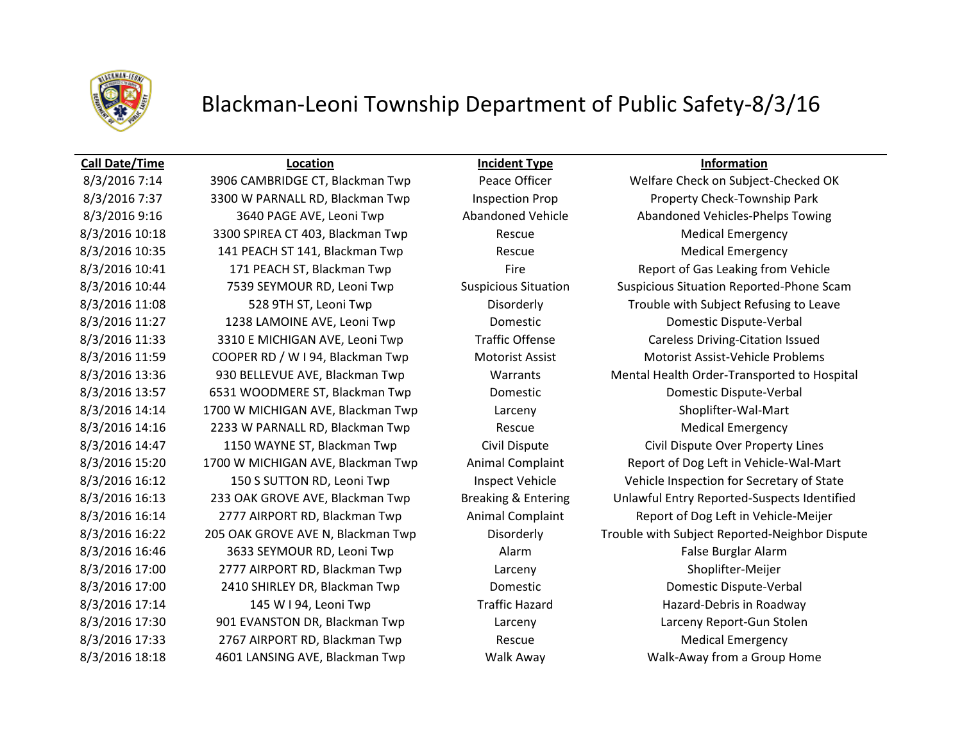

## Blackman-Leoni Township Department of Public Safety-8/3/16

### **Call Date/Time Location Incident Type Information**

8/3/2016 7:14 3906 CAMBRIDGE CT, Blackman Twp Peace Officer Welfare Check on Subject-Checked OK 8/3/2016 7:37 3300 W PARNALL RD, Blackman Twp Inspection Prop Property Check-Township Park 8/3/2016 10:18 3300 SPIREA CT 403, Blackman Twp Rescue Rescue Medical Emergency 8/3/2016 10:35 141 PEACH ST 141, Blackman Twp Rescue Rescue Medical Emergency 8/3/2016 11:27 1238 LAMOINE AVE, Leoni Twp Domestic Domestic Dispute-Verbal 8/3/2016 11:33 3310 E MICHIGAN AVE, Leoni Twp Traffic Offense Careless Driving-Citation Issued 8/3/2016 11:59 COOPER RD / W I 94, Blackman Twp Motorist Assist Motorist Assist-Vehicle Problems 8/3/2016 13:57 6531 WOODMERE ST, Blackman Twp Domestic Domestic Dispute-Verbal 8/3/2016 14:14 1700 W MICHIGAN AVE, Blackman Twp Larceny Larceny Shoplifter-Wal-Mart 8/3/2016 14:16 2233 W PARNALL RD, Blackman Twp Rescue Medical Emergency 8/3/2016 14:47 1150 WAYNE ST, Blackman Twp Civil Dispute Civil Dispute Over Property Lines 8/3/2016 16:46 3633 SEYMOUR RD, Leoni Twp Alarm Alarm False Burglar Alarm 8/3/2016 17:00 2777 AIRPORT RD, Blackman Twp Larceny Larceny Shoplifter-Meijer 8/3/2016 17:00 2410 SHIRLEY DR, Blackman Twp Domestic Domestic Dispute-Verbal 8/3/2016 17:14 145 W I 94, Leoni Twp Traffic Hazard Hazard Hazard-Debris in Roadway 8/3/2016 17:30 901 EVANSTON DR, Blackman Twp Larceny Larceny Report-Gun Stolen 8/3/2016 17:33 2767 AIRPORT RD, Blackman Twp Rescue Rescue Medical Emergency 8/3/2016 18:18 4601 LANSING AVE, Blackman Twp Walk Away Walk-Away from a Group Home

8/3/2016 9:16 3640 PAGE AVE, Leoni Twp Abandoned Vehicle Abandoned Vehicles-Phelps Towing 8/3/2016 10:41 171 PEACH ST, Blackman Twp Fire Fire Report of Gas Leaking from Vehicle 8/3/2016 10:44 7539 SEYMOUR RD, Leoni Twp Suspicious Situation Suspicious Situation Reported-Phone Scam 8/3/2016 11:08 528 9TH ST, Leoni Twp Disorderly Disorderly Trouble with Subject Refusing to Leave 8/3/2016 13:36 930 BELLEVUE AVE, Blackman Twp Warrants Mental Health Order-Transported to Hospital 8/3/2016 15:20 1700 W MICHIGAN AVE, Blackman Twp Animal Complaint Report of Dog Left in Vehicle-Wal-Mart 8/3/2016 16:12 150 S SUTTON RD, Leoni Twp Inspect Vehicle Vehicle Vehicle Inspection for Secretary of State 8/3/2016 16:13 233 OAK GROVE AVE, Blackman Twp Breaking & Entering Unlawful Entry Reported-Suspects Identified 8/3/2016 16:14 2777 AIRPORT RD, Blackman Twp Animal Complaint Report of Dog Left in Vehicle-Meijer 8/3/2016 16:22 205 OAK GROVE AVE N, Blackman Twp Disorderly Trouble with Subject Reported-Neighbor Dispute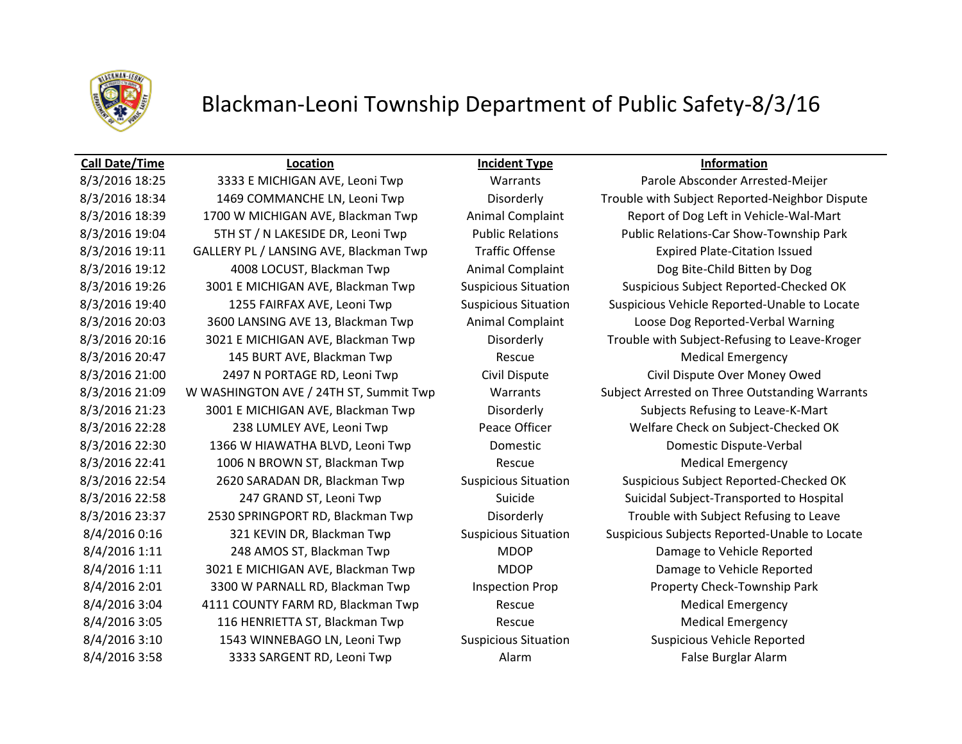

## Blackman-Leoni Township Department of Public Safety-8/3/16

### **Call Date/Time Location Incident Type Information**

8/3/2016 18:25 3333 E MICHIGAN AVE, Leoni Twp Warrants Parole Absconder Arrested-Meijer 8/3/2016 18:39 1700 W MICHIGAN AVE, Blackman Twp Animal Complaint Report of Dog Left in Vehicle-Wal-Mart 8/3/2016 19:11 GALLERY PL / LANSING AVE, Blackman Twp Traffic Offense Expired Plate-Citation Issued 8/3/2016 19:12 4008 LOCUST, Blackman Twp Animal Complaint Dog Bite-Child Bitten by Dog 8/3/2016 20:03 3600 LANSING AVE 13, Blackman Twp Animal Complaint Loose Dog Reported-Verbal Warning 8/3/2016 20:47 145 BURT AVE, Blackman Twp Rescue Medical Emergency 8/3/2016 21:00 2497 N PORTAGE RD, Leoni Twp Civil Dispute Civil Dispute Over Money Owed 8/3/2016 21:23 3001 E MICHIGAN AVE, Blackman Twp Disorderly Subjects Refusing to Leave-K-Mart 8/3/2016 22:28 238 LUMLEY AVE, Leoni Twp Peace Officer Welfare Check on Subject-Checked OK 8/3/2016 22:30 1366 W HIAWATHA BLVD, Leoni Twp Domestic Domestic Dispute-Verbal 8/3/2016 22:41 1006 N BROWN ST, Blackman Twp Rescue Medical Emergency 8/3/2016 23:37 2530 SPRINGPORT RD, Blackman Twp Disorderly Trouble with Subject Refusing to Leave 8/4/2016 1:11 248 AMOS ST, Blackman Twp MDOP Damage to Vehicle Reported 8/4/2016 1:11 3021 E MICHIGAN AVE, Blackman Twp MDOP Damage to Vehicle Reported 8/4/2016 2:01 3300 W PARNALL RD, Blackman Twp Inspection Prop Property Check-Township Park 8/4/2016 3:04 4111 COUNTY FARM RD, Blackman Twp Rescue Rescue Medical Emergency 8/4/2016 3:05 116 HENRIETTA ST, Blackman Twp Rescue Rescue Medical Emergency 8/4/2016 3:10 1543 WINNEBAGO LN, Leoni Twp Suspicious Situation Suspicious Vehicle Reported 8/4/2016 3:58 3333 SARGENT RD, Leoni Twp Alarm Alarm False Burglar Alarm

8/3/2016 18:34 1469 COMMANCHE LN, Leoni Twp Disorderly Trouble with Subject Reported-Neighbor Dispute 8/3/2016 19:04 5TH ST / N LAKESIDE DR, Leoni Twp Public Relations Public Relations-Car Show-Township Park 8/3/2016 19:26 3001 E MICHIGAN AVE, Blackman Twp Suspicious Situation Suspicious Subject Reported-Checked OK 8/3/2016 19:40 1255 FAIRFAX AVE, Leoni Twp Suspicious Situation Suspicious Vehicle Reported-Unable to Locate 8/3/2016 20:16 3021 E MICHIGAN AVE, Blackman Twp Disorderly Trouble with Subject-Refusing to Leave-Kroger 8/3/2016 21:09 W WASHINGTON AVE / 24TH ST, Summit Twp Warrants Subject Arrested on Three Outstanding Warrants 8/3/2016 22:54 2620 SARADAN DR, Blackman Twp Suspicious Situation Suspicious Subject Reported-Checked OK 8/3/2016 22:58 247 GRAND ST, Leoni Twp Suicide Suicide Suicidal Subject-Transported to Hospital 8/4/2016 0:16 321 KEVIN DR, Blackman Twp Suspicious Situation Suspicious Subjects Reported-Unable to Locate